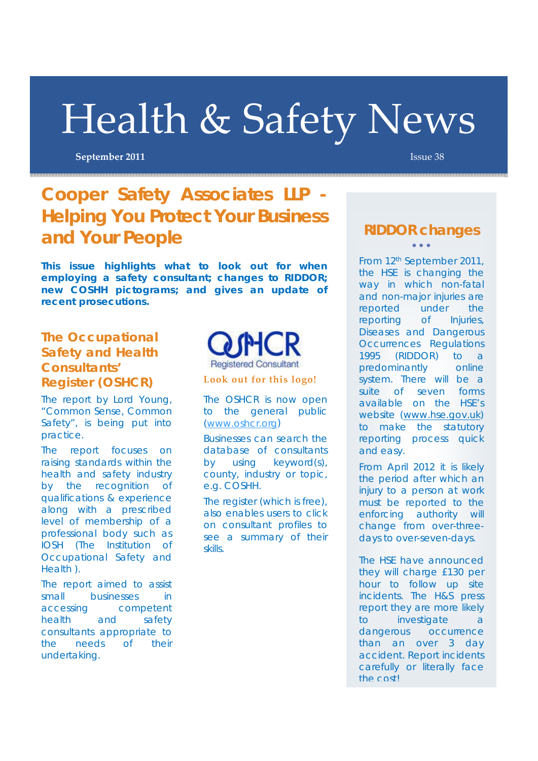# Health & Safety News

**September 2011 Issue 38** 

## **Cooper Safety Associates LLP - Helping You Protect Your Business and Your People**

**This issue highlights what to look out for when employing a safety consultant; changes to RIDDOR; new COSHH pictograms; and gives an update of recent prosecutions.** 

#### **The Occupational Safety and Health Consultants' Register (OSHCR) Look out for this logo!**

The report by Lord Young, "Common Sense, Common Safety", is being put into practice.

The report focuses on raising standards within the health and safety industry by the recognition of qualifications & experience along with a prescribed level of membership of a professional body such as IOSH (The Institution of Occupational Safety and Health ).

The report aimed to assist small businesses in accessing competent health and safety consultants appropriate to the needs of their undertaking.



The OSHCR is now open to the general public (www.oshcr.org)

Businesses can search the database of consultants by using keyword(s), county, industry or topic, e.g. COSHH.

The register (which is free), also enables users to click on consultant profiles to see a summary of their skills.

#### **RIDDOR changes**  $\bullet$   $\bullet$   $\bullet$

From 12th September 2011, the HSE is changing the way in which non-fatal and non-major injuries are reported under the reporting of Injuries, Diseases and Dangerous Occurrences Regulations 1995 (RIDDOR) to a predominantly online system. There will be a suite of seven forms available on the HSE's website (www.hse.gov.uk) to make the statutory reporting process quick and easy.

From April 2012 it is likely the period after which an injury to a person at work must be reported to the enforcing authority will change from over-threedays to over-seven-days.

The HSE have announced they will charge £130 per hour to follow up site incidents. The H&S press report they are more likely to investigate a dangerous occurrence than an over 3 day accident. Report incidents carefully or literally face the cost!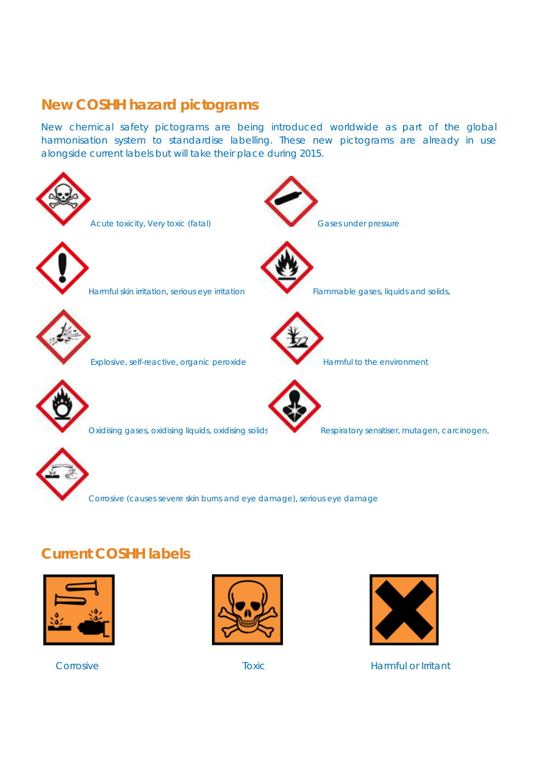#### **New COSHH hazard pictograms**

New chemical safety pictograms are being introduced worldwide as part of the global harmonisation system to standardise labelling. These new pictograms are already in use alongside current labels but will take their place during 2015.



Corrosive (causes severe skin burns and eye damage), serious eye damage

## **Current COSHH labels**







Corrosive **Toxic** Toxic **Harmful or Irritant**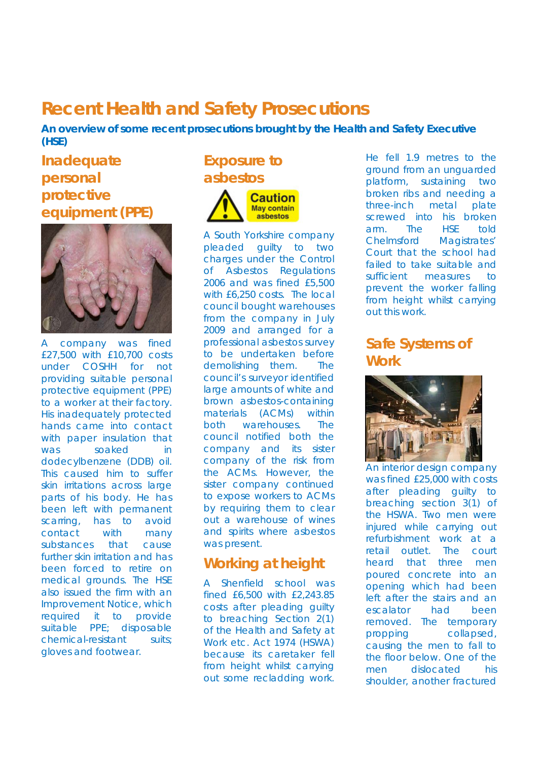## **Recent Health and Safety Prosecutions**

**An overview of some recent prosecutions brought by the Health and Safety Executive (HSE)** 

#### **Inadequate personal protective equipment (PPE)**



company was fined £27,500 with £10,700 costs under COSHH for not providing suitable personal protective equipment (PPE) to a worker at their factory. His inadequately protected hands came into contact with paper insulation that was soaked in dodecylbenzene (DDB) oil. This caused him to suffer skin irritations across large parts of his body. He has been left with permanent scarring, has to avoid contact with many substances that cause further skin irritation and has been forced to retire on medical grounds. The HSE also issued the firm with an Improvement Notice, which required it to provide suitable PPE; disposable chemical-resistant suits; gloves and footwear.

### **Exposure to asbestos**



A South Yorkshire company pleaded guilty to two charges under the Control of Asbestos Regulations 2006 and was fined £5,500 with £6,250 costs. The local council bought warehouses from the company in July 2009 and arranged for a professional asbestos survey to be undertaken before demolishing them. The council's surveyor identified large amounts of white and brown asbestos-containing materials (ACMs) within both warehouses. The council notified both the company and its sister company of the risk from the ACMs. However, the sister company continued to expose workers to ACMs by requiring them to clear out a warehouse of wines and spirits where asbestos was present.

#### **Working at height**

A Shenfield school was fined £6,500 with £2,243.85 costs after pleading guilty to breaching Section 2(1) of the Health and Safety at Work etc. Act 1974 (HSWA) because its caretaker fell from height whilst carrying out some recladding work. He fell 1.9 metres to the ground from an unguarded platform, sustaining two broken ribs and needing a three-inch metal plate screwed into his broken arm. The HSE told Chelmsford Magistrates' Court that the school had failed to take suitable and sufficient measures to prevent the worker falling from height whilst carrying out this work.

#### **Safe Systems of Work**



An interior design company was fined £25,000 with costs after pleading guilty to breaching section 3(1) of the HSWA. Two men were injured while carrying out refurbishment work at a retail outlet. The court heard that three men poured concrete into an opening which had been left after the stairs and an escalator had been removed. The temporary propping collapsed, causing the men to fall to the floor below. One of the men dislocated his shoulder, another fractured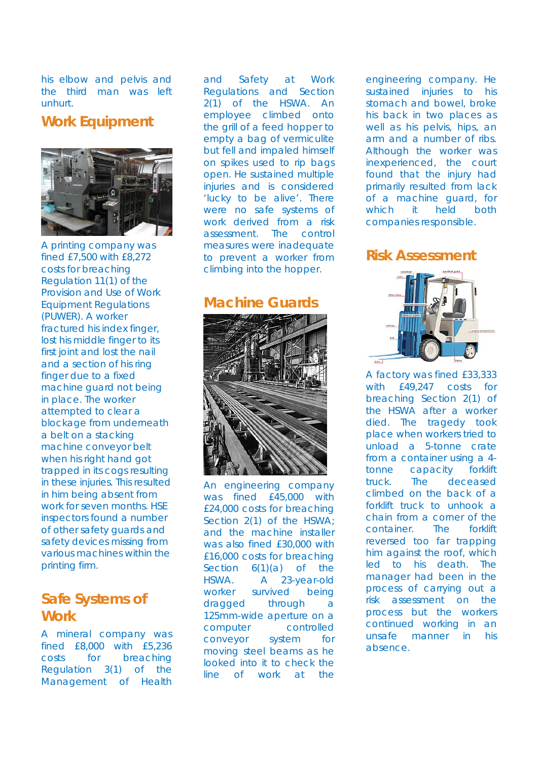his elbow and pelvis and the third man was left unhurt.

#### **Work Equipment**



A printing company was fined £7,500 with £8,272 costs for breaching Regulation 11(1) of the Provision and Use of Work Equipment Regulations (PUWER). A worker fractured his index finger, lost his middle finger to its first joint and lost the nail and a section of his ring finger due to a fixed machine guard not being in place. The worker attempted to clear a blockage from underneath a belt on a stacking machine conveyor belt when his right hand got trapped in its cogs resulting in these injuries. This resulted in him being absent from work for seven months. HSE inspectors found a number of other safety guards and safety devices missing from various machines within the printing firm.

#### **Safe Systems of Work**

A mineral company was fined £8,000 with £5,236 costs for breaching Regulation 3(1) of the Management of Health

and Safety at Work Regulations and Section 2(1) of the HSWA. An employee climbed onto the grill of a feed hopper to empty a bag of vermiculite but fell and impaled himself on spikes used to rip bags open. He sustained multiple injuries and is considered 'lucky to be alive'. There were no safe systems of work derived from a risk assessment. The control measures were inadequate to prevent a worker from climbing into the hopper.

#### **Machine Guards**



An engineering company was fined £45,000 with £24,000 costs for breaching Section 2(1) of the HSWA; and the machine installer was also fined £30,000 with £16,000 costs for breaching Section 6(1)(a) of the HSWA. A 23-year-old worker survived being dragged through a 125mm-wide aperture on a computer controlled conveyor system for moving steel beams as he looked into it to check the line of work at the

engineering company. He sustained injuries to his stomach and bowel, broke his back in two places as well as his pelvis, hips, an arm and a number of ribs. Although the worker was inexperienced, the court found that the injury had primarily resulted from lack of a machine guard, for which it held both companies responsible.

**Risk Assessment** 



A factory was fined £33,333 with £49,247 costs for breaching Section 2(1) of the HSWA after a worker died. The tragedy took place when workers tried to unload a 5-tonne crate from a container using a 4 tonne capacity forklift truck. The deceased climbed on the back of a forklift truck to unhook a chain from a corner of the container. The forklift reversed too far trapping him against the roof, which led to his death. The manager had been in the process of carrying out a risk assessment on the process but the workers continued working in an unsafe manner in his absence.